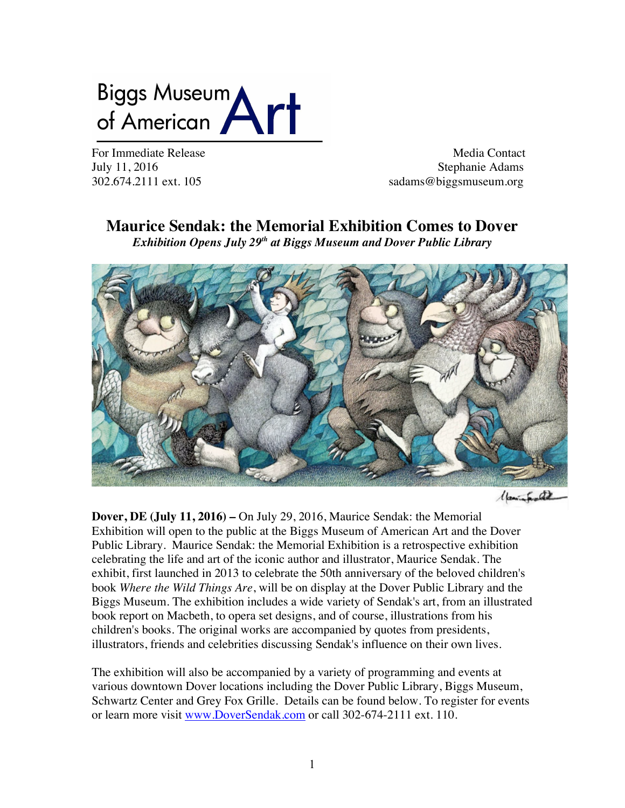# Biggs Museum<br>of American

For Immediate Release and the set of the Media Contact Media Contact July 11, 2016 Stephanie Adams 302.674.2111 ext. 105 sadams@biggsmuseum.org

# **Maurice Sendak: the Memorial Exhibition Comes to Dover**

*Exhibition Opens July 29th at Biggs Museum and Dover Public Library*



(parinted)

**Dover, DE (July 11, 2016) –** On July 29, 2016, Maurice Sendak: the Memorial Exhibition will open to the public at the Biggs Museum of American Art and the Dover Public Library. Maurice Sendak: the Memorial Exhibition is a retrospective exhibition celebrating the life and art of the iconic author and illustrator, Maurice Sendak. The exhibit, first launched in 2013 to celebrate the 50th anniversary of the beloved children's book *Where the Wild Things Are*, will be on display at the Dover Public Library and the Biggs Museum. The exhibition includes a wide variety of Sendak's art, from an illustrated book report on Macbeth, to opera set designs, and of course, illustrations from his children's books. The original works are accompanied by quotes from presidents, illustrators, friends and celebrities discussing Sendak's influence on their own lives.

The exhibition will also be accompanied by a variety of programming and events at various downtown Dover locations including the Dover Public Library, Biggs Museum, Schwartz Center and Grey Fox Grille. Details can be found below. To register for events or learn more visit www.DoverSendak.com or call 302-674-2111 ext. 110.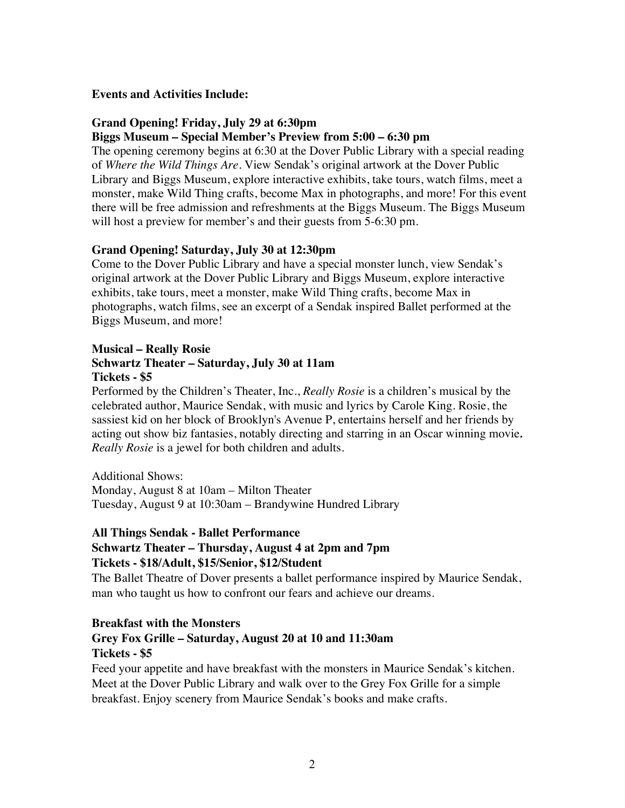#### **Events and Activities Include:**

#### **Grand Opening! Friday, July 29 at 6:30pm**

#### **Biggs Museum – Special Member's Preview from 5:00 – 6:30 pm**

The opening ceremony begins at 6:30 at the Dover Public Library with a special reading of *Where the Wild Things Are*. View Sendak's original artwork at the Dover Public Library and Biggs Museum, explore interactive exhibits, take tours, watch films, meet a monster, make Wild Thing crafts, become Max in photographs, and more! For this event there will be free admission and refreshments at the Biggs Museum. The Biggs Museum will host a preview for member's and their guests from 5-6:30 pm.

#### **Grand Opening! Saturday, July 30 at 12:30pm**

Come to the Dover Public Library and have a special monster lunch, view Sendak's original artwork at the Dover Public Library and Biggs Museum, explore interactive exhibits, take tours, meet a monster, make Wild Thing crafts, become Max in photographs, watch films, see an excerpt of a Sendak inspired Ballet performed at the Biggs Museum, and more!

#### **Musical – Really Rosie Schwartz Theater – Saturday, July 30 at 11am Tickets - \$5**

Performed by the Children's Theater, Inc., *Really Rosie* is a children's musical by the celebrated author, Maurice Sendak, with music and lyrics by Carole King. Rosie, the sassiest kid on her block of Brooklyn's Avenue P, entertains herself and her friends by acting out show biz fantasies, notably directing and starring in an Oscar winning movie*. Really Rosie* is a jewel for both children and adults.

Additional Shows:

Monday, August 8 at 10am – Milton Theater Tuesday, August 9 at 10:30am – Brandywine Hundred Library

#### **All Things Sendak - Ballet Performance**

# **Schwartz Theater – Thursday, August 4 at 2pm and 7pm**

# **Tickets - \$18/Adult, \$15/Senior, \$12/Student**

The Ballet Theatre of Dover presents a ballet performance inspired by Maurice Sendak, man who taught us how to confront our fears and achieve our dreams.

#### **Breakfast with the Monsters**

# **Grey Fox Grille – Saturday, August 20 at 10 and 11:30am Tickets - \$5**

Feed your appetite and have breakfast with the monsters in Maurice Sendak's kitchen. Meet at the Dover Public Library and walk over to the Grey Fox Grille for a simple breakfast. Enjoy scenery from Maurice Sendak's books and make crafts.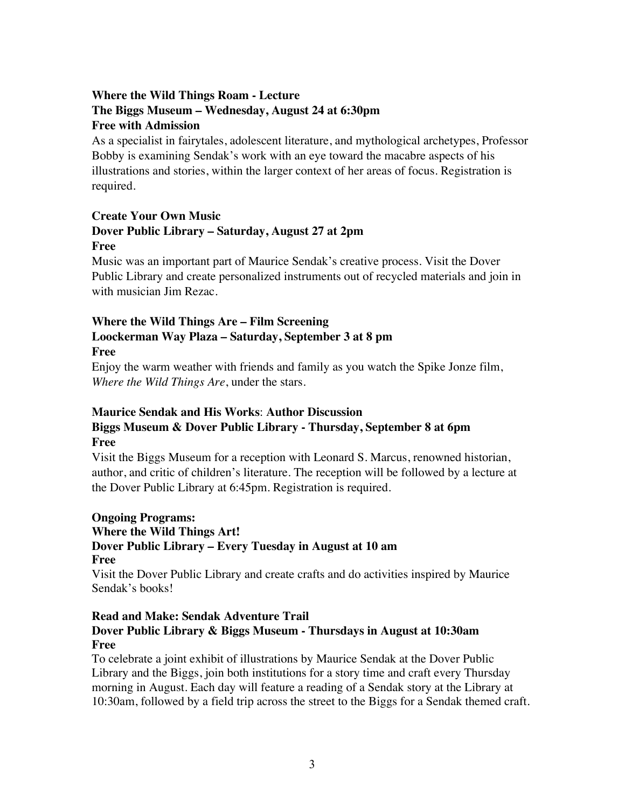# **Where the Wild Things Roam - Lecture The Biggs Museum – Wednesday, August 24 at 6:30pm Free with Admission**

As a specialist in fairytales, adolescent literature, and mythological archetypes, Professor Bobby is examining Sendak's work with an eye toward the macabre aspects of his illustrations and stories, within the larger context of her areas of focus. Registration is required.

# **Create Your Own Music Dover Public Library – Saturday, August 27 at 2pm Free**

Music was an important part of Maurice Sendak's creative process. Visit the Dover Public Library and create personalized instruments out of recycled materials and join in with musician Jim Rezac.

# **Where the Wild Things Are – Film Screening Loockerman Way Plaza – Saturday, September 3 at 8 pm Free**

Enjoy the warm weather with friends and family as you watch the Spike Jonze film, *Where the Wild Things Are*, under the stars.

# **Maurice Sendak and His Works**: **Author Discussion Biggs Museum & Dover Public Library - Thursday, September 8 at 6pm Free**

Visit the Biggs Museum for a reception with Leonard S. Marcus, renowned historian, author, and critic of children's literature. The reception will be followed by a lecture at the Dover Public Library at 6:45pm. Registration is required.

# **Ongoing Programs:**

# **Where the Wild Things Art! Dover Public Library – Every Tuesday in August at 10 am Free**

Visit the Dover Public Library and create crafts and do activities inspired by Maurice Sendak's books!

# **Read and Make: Sendak Adventure Trail Dover Public Library & Biggs Museum - Thursdays in August at 10:30am Free**

To celebrate a joint exhibit of illustrations by Maurice Sendak at the Dover Public Library and the Biggs, join both institutions for a story time and craft every Thursday morning in August. Each day will feature a reading of a Sendak story at the Library at 10:30am, followed by a field trip across the street to the Biggs for a Sendak themed craft.